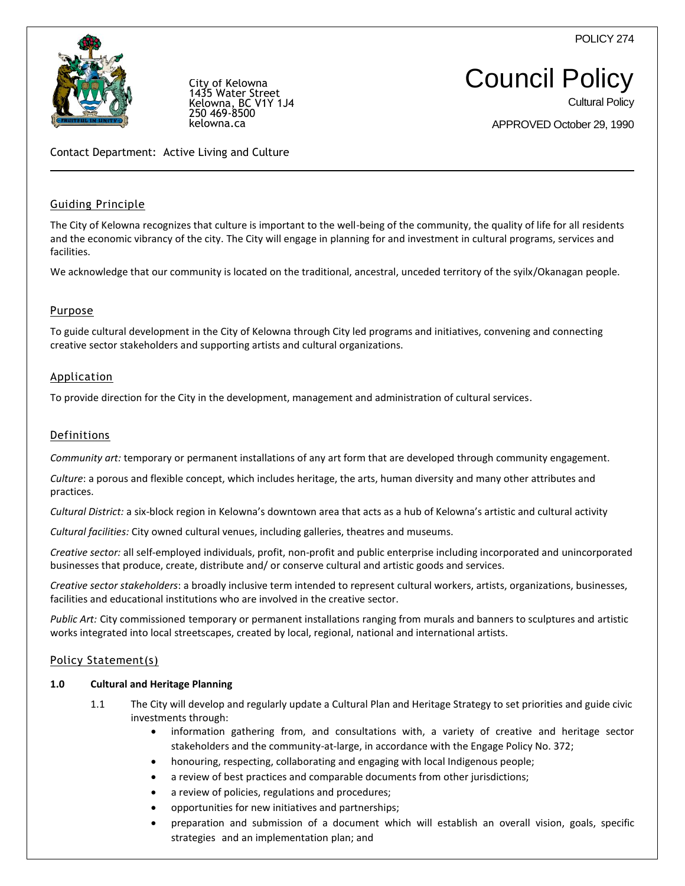POLICY 274



City of Kelowna 1435 Water Street Kelowna, BC V1Y 1J4 250 469-8500 kelowna.ca

# Council Policy

Cultural Policy

APPROVED October 29, 1990

Contact Department: Active Living and Culture

# Guiding Principle

The City of Kelowna recognizes that culture is important to the well-being of the community, the quality of life for all residents and the economic vibrancy of the city. The City will engage in planning for and investment in cultural programs, services and facilities.

We acknowledge that our community is located on the traditional, ancestral, unceded territory of the syilx/Okanagan people.

## **Purpose**

To guide cultural development in the City of Kelowna through City led programs and initiatives, convening and connecting creative sector stakeholders and supporting artists and cultural organizations.

#### Application

To provide direction for the City in the development, management and administration of cultural services.

#### Definitions

*Community art:* temporary or permanent installations of any art form that are developed through community engagement.

*Culture*: a porous and flexible concept, which includes heritage, the arts, human diversity and many other attributes and practices.

*Cultural District:* a six-block region in Kelowna's downtown area that acts as a hub of Kelowna's artistic and cultural activity

*Cultural facilities:* City owned cultural venues, including galleries, theatres and museums.

*Creative sector:* all self-employed individuals, profit, non-profit and public enterprise including incorporated and unincorporated businesses that produce, create, distribute and/ or conserve cultural and artistic goods and services.

*Creative sector stakeholders*: a broadly inclusive term intended to represent cultural workers, artists, organizations, businesses, facilities and educational institutions who are involved in the creative sector.

*Public Art:* City commissioned temporary or permanent installations ranging from murals and banners to sculptures and artistic works integrated into local streetscapes, created by local, regional, national and international artists.

#### Policy Statement(s)

#### **1.0 Cultural and Heritage Planning**

- 1.1 The City will develop and regularly update a Cultural Plan and Heritage Strategy to set priorities and guide civic investments through:
	- information gathering from, and consultations with, a variety of creative and heritage sector stakeholders and the community-at-large, in accordance with the Engage Policy No. 372;
	- honouring, respecting, collaborating and engaging with local Indigenous people;
	- a review of best practices and comparable documents from other jurisdictions;
	- a review of policies, regulations and procedures;
	- opportunities for new initiatives and partnerships;
	- preparation and submission of a document which will establish an overall vision, goals, specific strategies and an implementation plan; and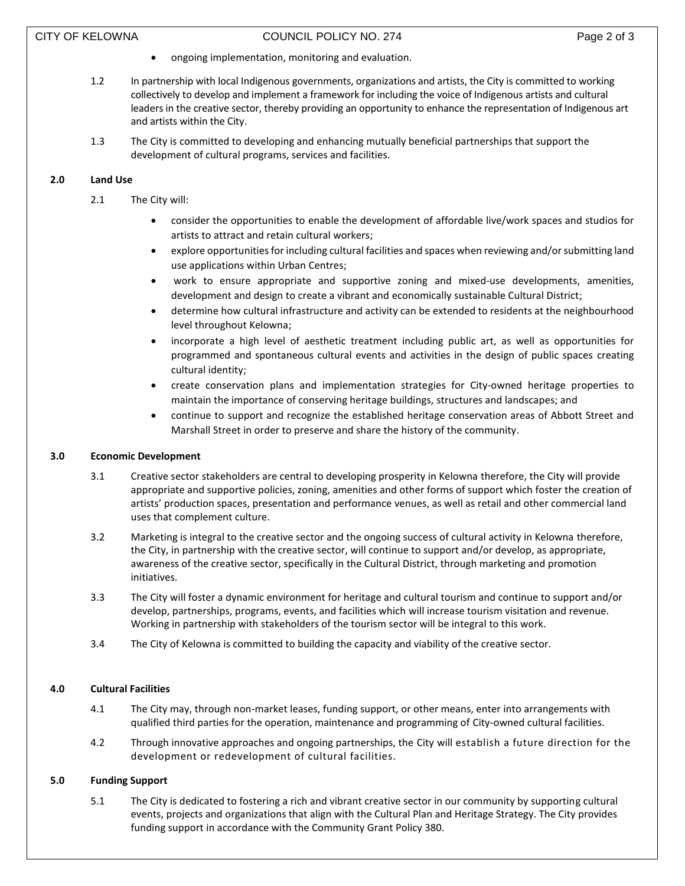- ongoing implementation, monitoring and evaluation.
- 1.2 In partnership with local Indigenous governments, organizations and artists, the City is committed to working collectively to develop and implement a framework for including the voice of Indigenous artists and cultural leaders in the creative sector, thereby providing an opportunity to enhance the representation of Indigenous art and artists within the City.
- 1.3 The City is committed to developing and enhancing mutually beneficial partnerships that support the development of cultural programs, services and facilities.

## **2.0 Land Use**

- 2.1 The City will:
	- consider the opportunities to enable the development of affordable live/work spaces and studios for artists to attract and retain cultural workers;
	- explore opportunities for including cultural facilities and spaces when reviewing and/or submitting land use applications within Urban Centres;
	- work to ensure appropriate and supportive zoning and mixed-use developments, amenities, development and design to create a vibrant and economically sustainable Cultural District;
	- determine how cultural infrastructure and activity can be extended to residents at the neighbourhood level throughout Kelowna;
	- incorporate a high level of aesthetic treatment including public art, as well as opportunities for programmed and spontaneous cultural events and activities in the design of public spaces creating cultural identity;
	- create conservation plans and implementation strategies for City-owned heritage properties to maintain the importance of conserving heritage buildings, structures and landscapes; and
	- continue to support and recognize the established heritage conservation areas of Abbott Street and Marshall Street in order to preserve and share the history of the community.

#### **3.0 Economic Development**

- 3.1 Creative sector stakeholders are central to developing prosperity in Kelowna therefore, the City will provide appropriate and supportive policies, zoning, amenities and other forms of support which foster the creation of artists' production spaces, presentation and performance venues, as well as retail and other commercial land uses that complement culture.
- 3.2 Marketing is integral to the creative sector and the ongoing success of cultural activity in Kelowna therefore, the City, in partnership with the creative sector, will continue to support and/or develop, as appropriate, awareness of the creative sector, specifically in the Cultural District, through marketing and promotion initiatives.
- 3.3 The City will foster a dynamic environment for heritage and cultural tourism and continue to support and/or develop, partnerships, programs, events, and facilities which will increase tourism visitation and revenue. Working in partnership with stakeholders of the tourism sector will be integral to this work.
- 3.4 The City of Kelowna is committed to building the capacity and viability of the creative sector.

# **4.0 Cultural Facilities**

- 4.1 The City may, through non-market leases, funding support, or other means, enter into arrangements with qualified third parties for the operation, maintenance and programming of City-owned cultural facilities.
- 4.2 Through innovative approaches and ongoing partnerships, the City will establish a future direction for the development or redevelopment of cultural facilities.

## **5.0 Funding Support**

5.1 The City is dedicated to fostering a rich and vibrant creative sector in our community by supporting cultural events, projects and organizations that align with the Cultural Plan and Heritage Strategy. The City provides funding support in accordance with the Community Grant Policy 380.